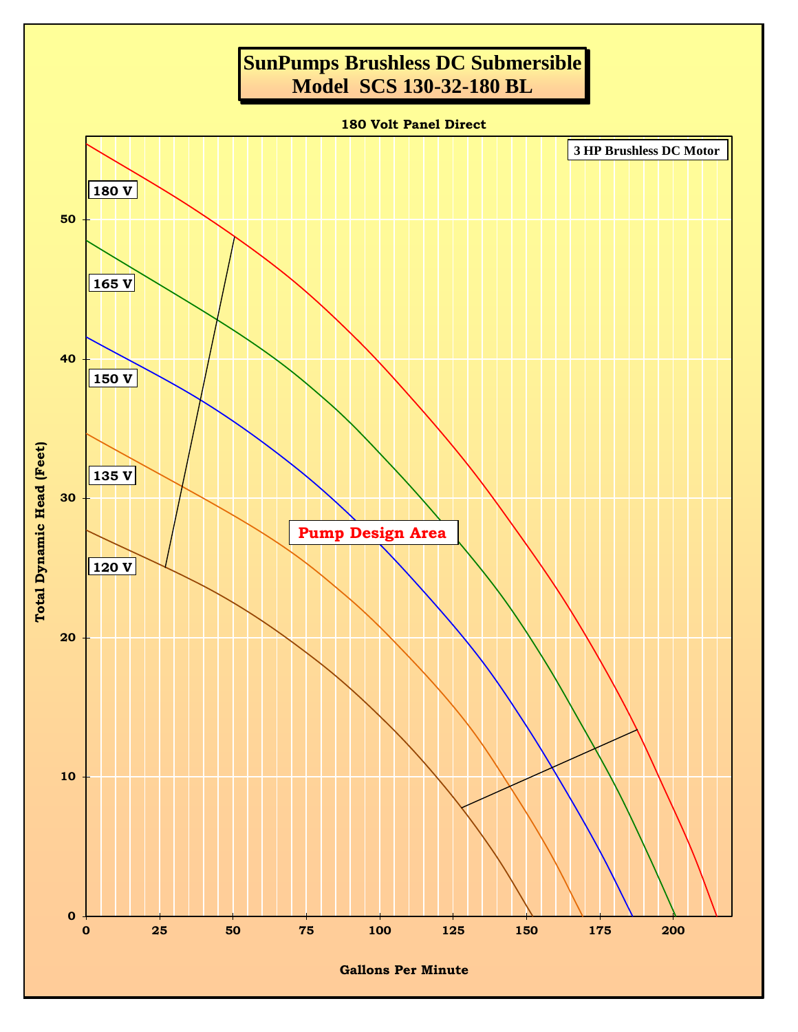